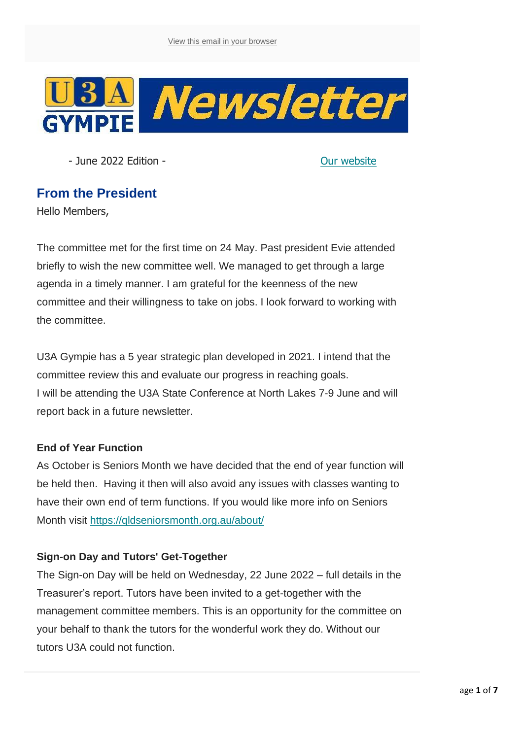

- June 2022 Edition - Care Contract Contract Contract Contract Contract Contract Contract Contract Contract Contract Contract Contract Contract Contract Contract Contract Contract Contract Contract Contract Contract Contra

## **From the President**

Hello Members,

The committee met for the first time on 24 May. Past president Evie attended briefly to wish the new committee well. We managed to get through a large agenda in a timely manner. I am grateful for the keenness of the new committee and their willingness to take on jobs. I look forward to working with the committee.

U3A Gympie has a 5 year strategic plan developed in 2021. I intend that the committee review this and evaluate our progress in reaching goals. I will be attending the U3A State Conference at North Lakes 7-9 June and will report back in a future newsletter.

#### **End of Year Function**

As October is Seniors Month we have decided that the end of year function will be held then. Having it then will also avoid any issues with classes wanting to have their own end of term functions. If you would like more info on Seniors Month visit <https://qldseniorsmonth.org.au/about/>

#### **Sign-on Day and Tutors' Get-Together**

The Sign-on Day will be held on Wednesday, 22 June 2022 – full details in the Treasurer's report. Tutors have been invited to a get-together with the management committee members. This is an opportunity for the committee on your behalf to thank the tutors for the wonderful work they do. Without our tutors U3A could not function.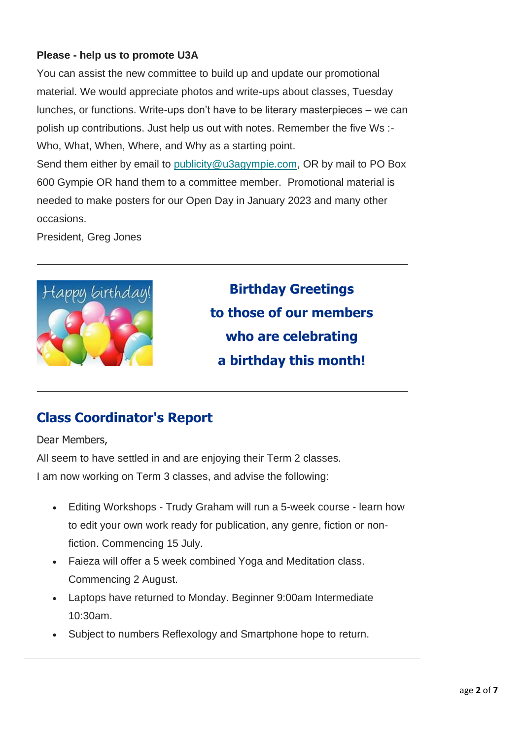#### **Please - help us to promote U3A**

You can assist the new committee to build up and update our promotional material. We would appreciate photos and write-ups about classes, Tuesday lunches, or functions. Write-ups don't have to be literary masterpieces – we can polish up contributions. Just help us out with notes. Remember the five Ws :- Who, What, When, Where, and Why as a starting point.

Send them either by email to [publicity@u3agympie.com,](mailto:publicity@u3agympie.com) OR by mail to PO Box 600 Gympie OR hand them to a committee member. Promotional material is needed to make posters for our Open Day in January 2023 and many other occasions.

President, Greg Jones



**Birthday Greetings to those of our members who are celebrating a birthday this month!**

## **Class Coordinator's Report**

Dear Members,

All seem to have settled in and are enjoying their Term 2 classes. I am now working on Term 3 classes, and advise the following:

- Editing Workshops Trudy Graham will run a 5-week course learn how to edit your own work ready for publication, any genre, fiction or nonfiction. Commencing 15 July.
- Faieza will offer a 5 week combined Yoga and Meditation class. Commencing 2 August.
- Laptops have returned to Monday. Beginner 9:00am Intermediate 10:30am.
- Subject to numbers Reflexology and Smartphone hope to return.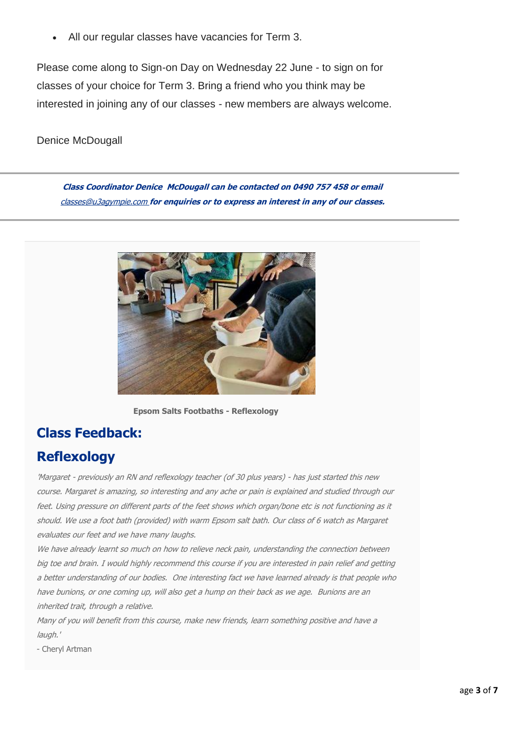• All our regular classes have vacancies for Term 3.

Please come along to Sign-on Day on Wednesday 22 June - to sign on for classes of your choice for Term 3. Bring a friend who you think may be interested in joining any of our classes - new members are always welcome.

#### Denice McDougall

**Class Coordinator Denice McDougall can be contacted on 0490 757 458 or email**  [classes@u3agympie.com](mailto:classes@u3agympie.com) **for enquiries or to express an interest in any of our classes.**



**Epsom Salts Footbaths - Reflexology**

## **Class Feedback:**

## **Reflexology**

'Margaret - previously an RN and reflexology teacher (of 30 plus years) - has just started this new course. Margaret is amazing, so interesting and any ache or pain is explained and studied through our feet. Using pressure on different parts of the feet shows which organ/bone etc is not functioning as it should. We use a foot bath (provided) with warm Epsom salt bath. Our class of 6 watch as Margaret evaluates our feet and we have many laughs.

We have already learnt so much on how to relieve neck pain, understanding the connection between big toe and brain. I would highly recommend this course if you are interested in pain relief and getting a better understanding of our bodies. One interesting fact we have learned already is that people who have bunions, or one coming up, will also get a hump on their back as we age. Bunions are an inherited trait, through a relative.

Many of you will benefit from this course, make new friends, learn something positive and have a laugh.'

- Cheryl Artman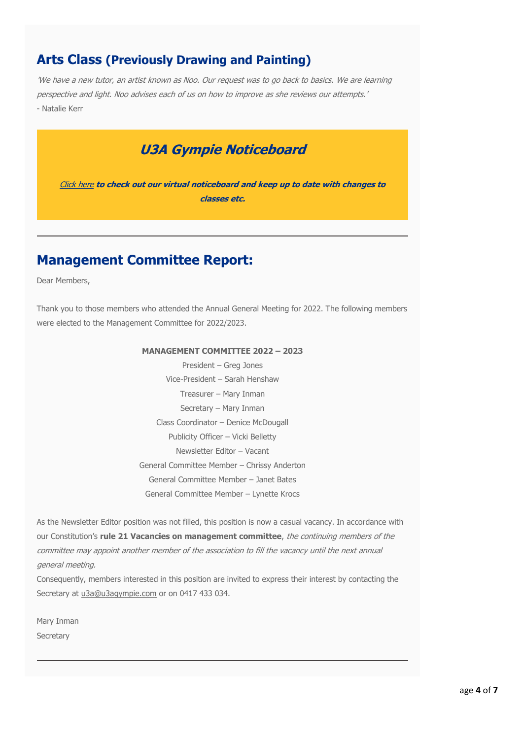### **Arts Class (Previously Drawing and Painting)**

'We have a new tutor, an artist known as Noo. Our request was to go back to basics. We are learning perspective and light. Noo advises each of us on how to improve as she reviews our attempts.' - Natalie Kerr



[Click here](https://u3agympie.com/notice-board/) **to check out our virtual noticeboard and keep up to date with changes to classes etc.**

## **Management Committee Report:**

Dear Members,

Thank you to those members who attended the Annual General Meeting for 2022. The following members were elected to the Management Committee for 2022/2023.

#### **MANAGEMENT COMMITTEE 2022 – 2023**

President – Greg Jones Vice-President – Sarah Henshaw Treasurer – Mary Inman Secretary – Mary Inman Class Coordinator – Denice McDougall Publicity Officer – Vicki Belletty Newsletter Editor – Vacant General Committee Member – Chrissy Anderton General Committee Member – Janet Bates General Committee Member – Lynette Krocs

As the Newsletter Editor position was not filled, this position is now a casual vacancy. In accordance with our Constitution's **rule 21 Vacancies on management committee**, the continuing members of the committee may appoint another member of the association to fill the vacancy until the next annual general meeting.

Consequently, members interested in this position are invited to express their interest by contacting the Secretary at [u3a@u3agympie.com](mailto:u3a@u3agympie.com) or on 0417 433 034.

Mary Inman **Secretary**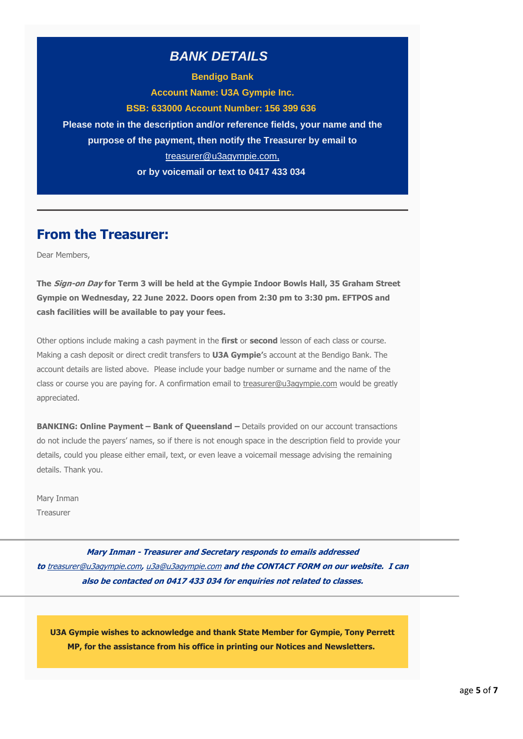#### *BANK DETAILS*

**Bendigo Bank Account Name: U3A Gympie Inc. BSB: 633000 Account Number: 156 399 636 Please note in the description and/or reference fields, your name and the purpose of the payment, then notify the Treasurer by email to** [t](http://%20treasurer@u3agympie.com )[reasurer@u3agympie.com](mailto:treasurer@u3agympie.com)[,](http://%20treasurer@u3agympie.com ) **or by voicemail or text to 0417 433 034**

#### **From the Treasurer:**

Dear Members,

**The Sign-on Day for Term 3 will be held at the Gympie Indoor Bowls Hall, 35 Graham Street Gympie on Wednesday, 22 June 2022. Doors open from 2:30 pm to 3:30 pm. EFTPOS and cash facilities will be available to pay your fees.**

Other options include making a cash payment in the **first** or **second** lesson of each class or course. Making a cash deposit or direct credit transfers to **U3A Gympie'**s account at the Bendigo Bank. The account details are listed above. Please include your badge number or surname and the name of the class or course you are paying for. A confirmation email to [treasurer@u3agympie.com](mailto:treasurer@u3agympie.com) would be greatly appreciated.

**BANKING: Online Payment – Bank of Queensland –** Details provided on our account transactions do not include the payers' names, so if there is not enough space in the description field to provide your details, could you please either email, text, or even leave a voicemail message advising the remaining details. Thank you.

Mary Inman Treasurer

**Mary Inman - Treasurer and Secretary responds to emails addressed to** [treasurer@u3agympie.com](mailto:treasurer@u3agympie.com)**,** [u3a@u3agympie.com](mailto:u3a@u3agympie.com) **and the CONTACT FORM on our website. I can also be contacted on 0417 433 034 for enquiries not related to classes.**

**U3A Gympie wishes to acknowledge and thank State Member for Gympie, Tony Perrett MP, for the assistance from his office in printing our Notices and Newsletters.**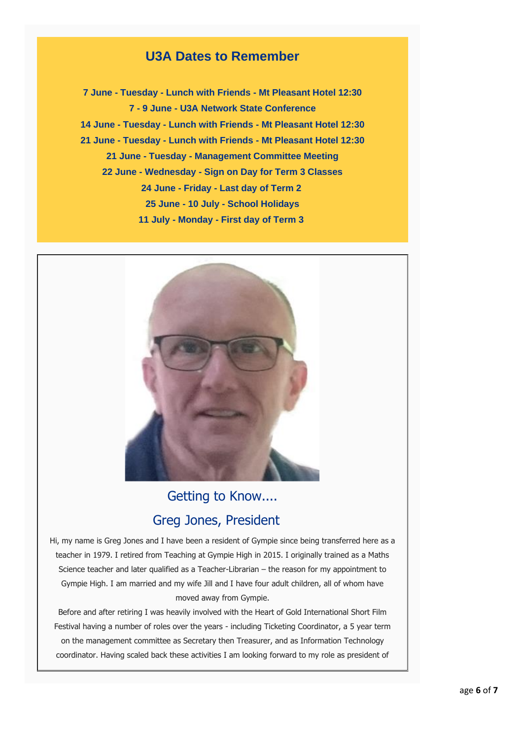#### **U3A Dates to Remember**

**7 June - Tuesday - Lunch with Friends - Mt Pleasant Hotel 12:30 7 - 9 June - U3A Network State Conference 14 June - Tuesday - Lunch with Friends - Mt Pleasant Hotel 12:30 21 June - Tuesday - Lunch with Friends - Mt Pleasant Hotel 12:30 21 June - Tuesday - Management Committee Meeting 22 June - Wednesday - Sign on Day for Term 3 Classes 24 June - Friday - Last day of Term 2 25 June - 10 July - School Holidays 11 July - Monday - First day of Term 3**



# Getting to Know.... Greg Jones, President

Hi, my name is Greg Jones and I have been a resident of Gympie since being transferred here as a teacher in 1979. I retired from Teaching at Gympie High in 2015. I originally trained as a Maths Science teacher and later qualified as a Teacher-Librarian – the reason for my appointment to Gympie High. I am married and my wife Jill and I have four adult children, all of whom have moved away from Gympie.

Before and after retiring I was heavily involved with the Heart of Gold International Short Film Festival having a number of roles over the years - including Ticketing Coordinator, a 5 year term on the management committee as Secretary then Treasurer, and as Information Technology coordinator. Having scaled back these activities I am looking forward to my role as president of